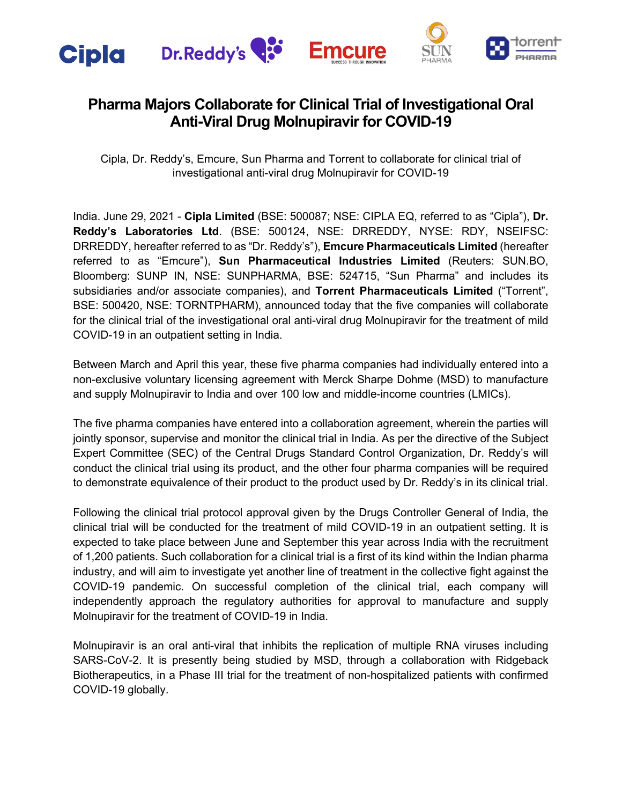

# **Pharma Majors Collaborate for Clinical Trial of Investigational Oral Anti-Viral Drug Molnupiravir for COVID-19**

Cipla, Dr. Reddy's, Emcure, Sun Pharma and Torrent to collaborate for clinical trial of investigational anti-viral drug Molnupiravir for COVID-19

India. June 29, 2021 - **Cipla Limited** (BSE: 500087; NSE: CIPLA EQ, referred to as "Cipla"), **Dr. Reddy's Laboratories Ltd**. (BSE: 500124, NSE: DRREDDY, NYSE: RDY, NSEIFSC: DRREDDY, hereafter referred to as "Dr. Reddy's"), **Emcure Pharmaceuticals Limited** (hereafter referred to as "Emcure"), **Sun Pharmaceutical Industries Limited** (Reuters: SUN.BO, Bloomberg: SUNP IN, NSE: SUNPHARMA, BSE: 524715, "Sun Pharma" and includes its subsidiaries and/or associate companies), and **Torrent Pharmaceuticals Limited** ("Torrent", BSE: 500420, NSE: TORNTPHARM), announced today that the five companies will collaborate for the clinical trial of the investigational oral anti-viral drug Molnupiravir for the treatment of mild COVID-19 in an outpatient setting in India.

Between March and April this year, these five pharma companies had individually entered into a non-exclusive voluntary licensing agreement with Merck Sharpe Dohme (MSD) to manufacture and supply Molnupiravir to India and over 100 low and middle-income countries (LMICs).

The five pharma companies have entered into a collaboration agreement, wherein the parties will jointly sponsor, supervise and monitor the clinical trial in India. As per the directive of the Subject Expert Committee (SEC) of the Central Drugs Standard Control Organization, Dr. Reddy's will conduct the clinical trial using its product, and the other four pharma companies will be required to demonstrate equivalence of their product to the product used by Dr. Reddy's in its clinical trial.

Following the clinical trial protocol approval given by the Drugs Controller General of India, the clinical trial will be conducted for the treatment of mild COVID-19 in an outpatient setting. It is expected to take place between June and September this year across India with the recruitment of 1,200 patients. Such collaboration for a clinical trial is a first of its kind within the Indian pharma industry, and will aim to investigate yet another line of treatment in the collective fight against the COVID-19 pandemic. On successful completion of the clinical trial, each company will independently approach the regulatory authorities for approval to manufacture and supply Molnupiravir for the treatment of COVID-19 in India.

Molnupiravir is an oral anti-viral that inhibits the replication of multiple RNA viruses including SARS-CoV-2. It is presently being studied by MSD, through a collaboration with Ridgeback Biotherapeutics, in a Phase III trial for the treatment of non-hospitalized patients with confirmed COVID-19 globally.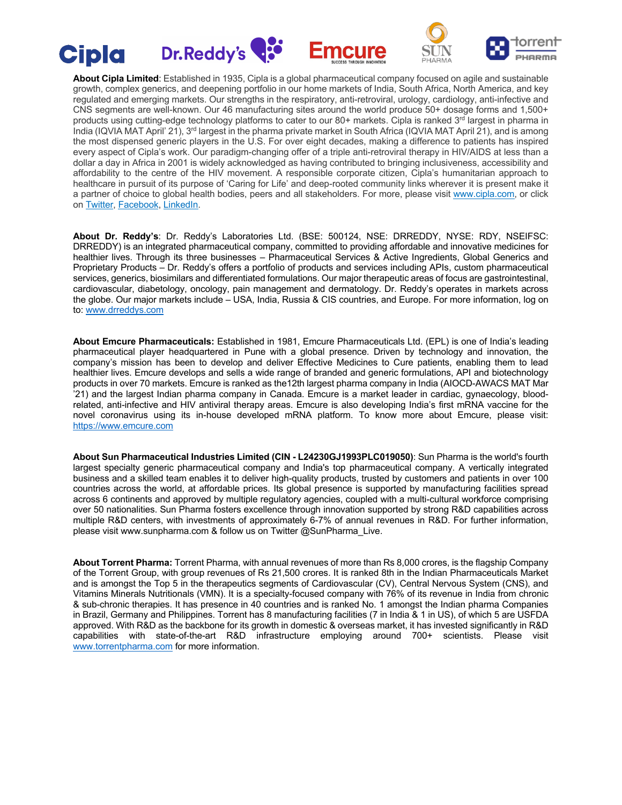









**About Cipla Limited**: Established in 1935, Cipla is a global pharmaceutical company focused on agile and sustainable growth, complex generics, and deepening portfolio in our home markets of India, South Africa, North America, and key regulated and emerging markets. Our strengths in the respiratory, anti-retroviral, urology, cardiology, anti-infective and CNS segments are well-known. Our 46 manufacturing sites around the world produce 50+ dosage forms and 1,500+ products using cutting-edge technology platforms to cater to our 80+ markets. Cipla is ranked 3<sup>rd</sup> largest in pharma in India (IQVIA MAT April' 21), 3<sup>rd</sup> largest in the pharma private market in South Africa (IQVIA MAT April 21), and is among the most dispensed generic players in the U.S. For over eight decades, making a difference to patients has inspired every aspect of Cipla's work. Our paradigm-changing offer of a triple anti-retroviral therapy in HIV/AIDS at less than a dollar a day in Africa in 2001 is widely acknowledged as having contributed to bringing inclusiveness, accessibility and affordability to the centre of the HIV movement. A responsible corporate citizen, Cipla's humanitarian approach to healthcare in pursuit of its purpose of 'Caring for Life' and deep-rooted community links wherever it is present make it a partner of choice to global health bodies, peers and all stakeholders. For more, please visit www.cipla.com, or click on Twitter, Facebook, LinkedIn.

**About Dr. Reddy's**: Dr. Reddy's Laboratories Ltd. (BSE: 500124, NSE: DRREDDY, NYSE: RDY, NSEIFSC: DRREDDY) is an integrated pharmaceutical company, committed to providing affordable and innovative medicines for healthier lives. Through its three businesses – Pharmaceutical Services & Active Ingredients, Global Generics and Proprietary Products – Dr. Reddy's offers a portfolio of products and services including APIs, custom pharmaceutical services, generics, biosimilars and differentiated formulations. Our major therapeutic areas of focus are gastrointestinal, cardiovascular, diabetology, oncology, pain management and dermatology. Dr. Reddy's operates in markets across the globe. Our major markets include – USA, India, Russia & CIS countries, and Europe. For more information, log on to: www.drreddys.com

**About Emcure Pharmaceuticals:** Established in 1981, Emcure Pharmaceuticals Ltd. (EPL) is one of India's leading pharmaceutical player headquartered in Pune with a global presence. Driven by technology and innovation, the company's mission has been to develop and deliver Effective Medicines to Cure patients, enabling them to lead healthier lives. Emcure develops and sells a wide range of branded and generic formulations, API and biotechnology products in over 70 markets. Emcure is ranked as the12th largest pharma company in India (AIOCD-AWACS MAT Mar '21) and the largest Indian pharma company in Canada. Emcure is a market leader in cardiac, gynaecology, bloodrelated, anti-infective and HIV antiviral therapy areas. Emcure is also developing India's first mRNA vaccine for the novel coronavirus using its in-house developed mRNA platform. To know more about Emcure, please visit: https://www.emcure.com

**About Sun Pharmaceutical Industries Limited (CIN - L24230GJ1993PLC019050)**: Sun Pharma is the world's fourth largest specialty generic pharmaceutical company and India's top pharmaceutical company. A vertically integrated business and a skilled team enables it to deliver high-quality products, trusted by customers and patients in over 100 countries across the world, at affordable prices. Its global presence is supported by manufacturing facilities spread across 6 continents and approved by multiple regulatory agencies, coupled with a multi-cultural workforce comprising over 50 nationalities. Sun Pharma fosters excellence through innovation supported by strong R&D capabilities across multiple R&D centers, with investments of approximately 6-7% of annual revenues in R&D. For further information, please visit www.sunpharma.com & follow us on Twitter @SunPharma\_Live.

**About Torrent Pharma:** Torrent Pharma, with annual revenues of more than Rs 8,000 crores, is the flagship Company of the Torrent Group, with group revenues of Rs 21,500 crores. It is ranked 8th in the Indian Pharmaceuticals Market and is amongst the Top 5 in the therapeutics segments of Cardiovascular (CV), Central Nervous System (CNS), and Vitamins Minerals Nutritionals (VMN). It is a specialty-focused company with 76% of its revenue in India from chronic & sub-chronic therapies. It has presence in 40 countries and is ranked No. 1 amongst the Indian pharma Companies in Brazil, Germany and Philippines. Torrent has 8 manufacturing facilities (7 in India & 1 in US), of which 5 are USFDA approved. With R&D as the backbone for its growth in domestic & overseas market, it has invested significantly in R&D capabilities with state-of-the-art R&D infrastructure employing around 700+ scientists. Please visit www.torrentpharma.com for more information.